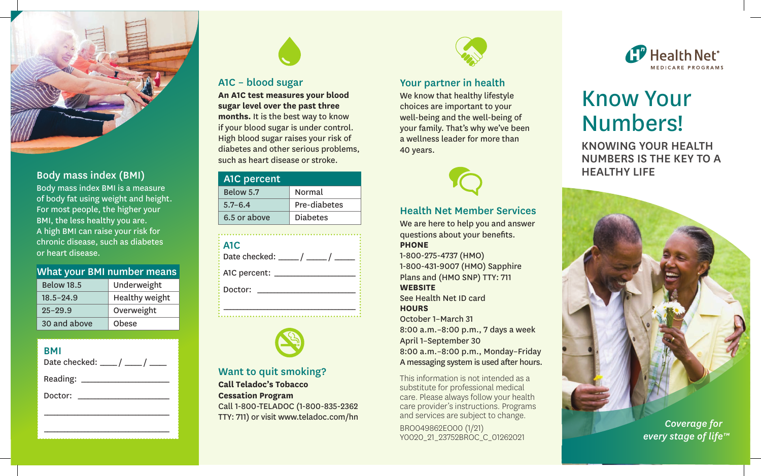

# Body mass index (BMI)

Body mass index BMI is a measure of body fat using weight and height. For most people, the higher your BMI, the less healthy you are. A high BMI can raise your risk for chronic disease, such as diabetes or heart disease.

### What your BMI number means

| <b>Below 18.5</b> | Underweight           |
|-------------------|-----------------------|
| $18.5 - 24.9$     | <b>Healthy weight</b> |
| $95 - 29.9$       | Overweight            |
| 30 and above      | Obese                 |

#### BMI Date checked: \_\_\_\_\_ / \_\_\_\_\_ / \_\_\_\_\_

| Date checked: |
|---------------|
| Reading:      |
| Doctor:       |
|               |
|               |

\_\_\_\_\_\_\_\_\_\_\_\_\_\_\_\_\_\_\_\_\_\_\_\_\_\_\_\_\_\_\_\_\_\_\_\_\_



# A1C – blood sugar

**An A1C test measures your blood sugar level over the past three months.** It is the best way to know if your blood sugar is under control. High blood sugar raises your risk of diabetes and other serious problems, such as heart disease or stroke.

| A <sub>1</sub> C percent |                 |
|--------------------------|-----------------|
| Below 5.7                | Normal          |
| $5.7 - 6.4$              | Pre-diabetes    |
| 6.5 or above             | <b>Diabetes</b> |

| A <sub>1</sub> C<br>$\frac{1}{2}$ Date checked: $\frac{1}{2}$ / |
|-----------------------------------------------------------------|
| A1C percent:                                                    |
| Doctor:                                                         |
|                                                                 |



#### Want to quit smoking? **Call Teladoc's Tobacco Cessation Program** Call 1-800-TELADOC (1-800-835-2362 TTY: 711) or visit [www.teladoc.com/hn](https://www.teladoc.com/hn)



### Your partner in health

We know that healthy lifestyle choices are important to your well-being and the well-being of your family. That's why we've been a wellness leader for more than 40 years.



#### Health Net Member Services

We are here to help you and answer questions about your benefits. **PHONE** 

1-800-275-4737 (HMO) 1-800-431-9007 (HMO) Sapphire Plans and (HMO SNP) TTY: 711 **WEBSITE** 

See Health Net ID card **HOURS** 

October 1–March 31 8:00 a.m.–8:00 p.m., 7 days a week April 1–September 30 8:00 a.m.–8:00 p.m., Monday–Friday A messaging system is used after hours.

This information is not intended as a substitute for professional medical care. Please always follow your health care provider's instructions. Programs and services are subject to change.

BRO049862EO00 (1/21) Y0020\_21\_23752BROC\_C\_01262021



# Know Your Numbers!

KNOWING YOUR HEALTH NUMBERS IS THE KEY TO A HEALTHY LIFE